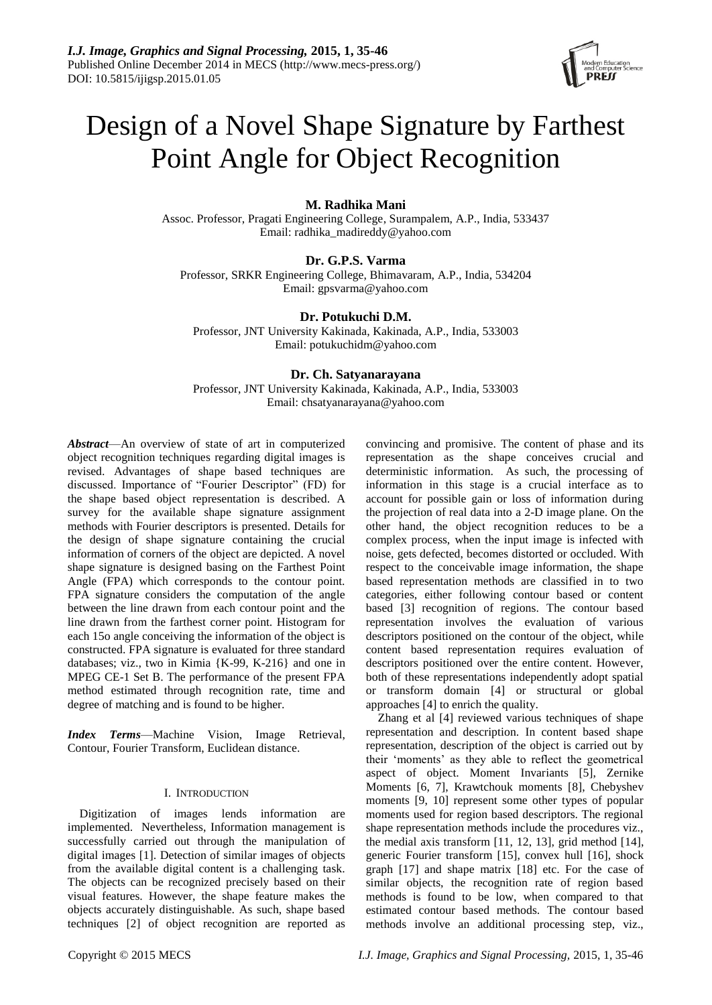

# Design of a Novel Shape Signature by Farthest Point Angle for Object Recognition

# **M. Radhika Mani**

Assoc. Professor, Pragati Engineering College, Surampalem, A.P., India, 533437 Email: radhika\_madireddy@yahoo.com

## **Dr. G.P.S. Varma**

Professor, SRKR Engineering College, Bhimavaram, A.P., India, 534204 Email: gpsvarma@yahoo.com

## **Dr. Potukuchi D.M.**

Professor, JNT University Kakinada, Kakinada, A.P., India, 533003 Email: potukuchidm@yahoo.com

# **Dr. Ch. Satyanarayana**

Professor, JNT University Kakinada, Kakinada, A.P., India, 533003 Email: chsatyanarayana@yahoo.com

*Abstract*—An overview of state of art in computerized object recognition techniques regarding digital images is revised. Advantages of shape based techniques are discussed. Importance of "Fourier Descriptor" (FD) for the shape based object representation is described. A survey for the available shape signature assignment methods with Fourier descriptors is presented. Details for the design of shape signature containing the crucial information of corners of the object are depicted. A novel shape signature is designed basing on the Farthest Point Angle (FPA) which corresponds to the contour point. FPA signature considers the computation of the angle between the line drawn from each contour point and the line drawn from the farthest corner point. Histogram for each 15o angle conceiving the information of the object is constructed. FPA signature is evaluated for three standard databases; viz., two in Kimia {K-99, K-216} and one in MPEG CE-1 Set B. The performance of the present FPA method estimated through recognition rate, time and degree of matching and is found to be higher.

*Index Terms*—Machine Vision, Image Retrieval, Contour, Fourier Transform, Euclidean distance.

## I. INTRODUCTION

Digitization of images lends information are implemented. Nevertheless, Information management is successfully carried out through the manipulation of digital images [1]. Detection of similar images of objects from the available digital content is a challenging task. The objects can be recognized precisely based on their visual features. However, the shape feature makes the objects accurately distinguishable. As such, shape based techniques [2] of object recognition are reported as

convincing and promisive. The content of phase and its representation as the shape conceives crucial and deterministic information. As such, the processing of information in this stage is a crucial interface as to account for possible gain or loss of information during the projection of real data into a 2-D image plane. On the other hand, the object recognition reduces to be a complex process, when the input image is infected with noise, gets defected, becomes distorted or occluded. With respect to the conceivable image information, the shape based representation methods are classified in to two categories, either following contour based or content based [3] recognition of regions. The contour based representation involves the evaluation of various descriptors positioned on the contour of the object, while content based representation requires evaluation of descriptors positioned over the entire content. However, both of these representations independently adopt spatial or transform domain [4] or structural or global approaches [4] to enrich the quality.

Zhang et al [4] reviewed various techniques of shape representation and description. In content based shape representation, description of the object is carried out by their 'moments' as they able to reflect the geometrical aspect of object. Moment Invariants [5], Zernike Moments [6, 7], Krawtchouk moments [8], Chebyshev moments [9, 10] represent some other types of popular moments used for region based descriptors. The regional shape representation methods include the procedures viz., the medial axis transform [11, 12, 13], grid method [14], generic Fourier transform [15], convex hull [16], shock graph [17] and shape matrix [18] etc. For the case of similar objects, the recognition rate of region based methods is found to be low, when compared to that estimated contour based methods. The contour based methods involve an additional processing step, viz.,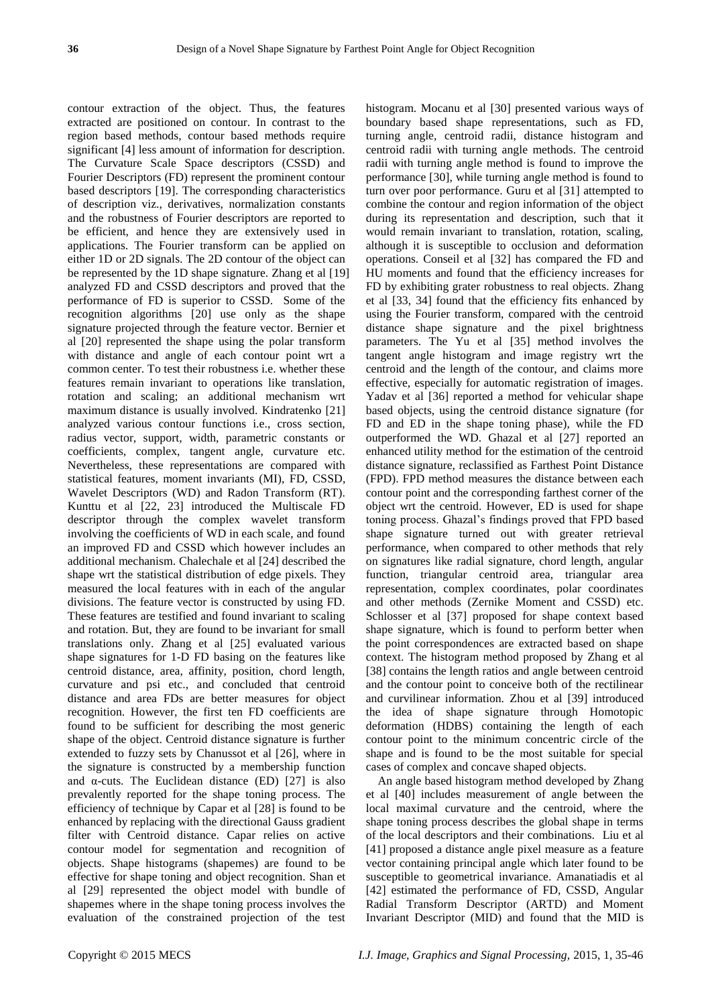contour extraction of the object. Thus, the features extracted are positioned on contour. In contrast to the region based methods, contour based methods require significant [4] less amount of information for description. The Curvature Scale Space descriptors (CSSD) and Fourier Descriptors (FD) represent the prominent contour based descriptors [19]. The corresponding characteristics of description viz., derivatives, normalization constants and the robustness of Fourier descriptors are reported to be efficient, and hence they are extensively used in applications. The Fourier transform can be applied on either 1D or 2D signals. The 2D contour of the object can be represented by the 1D shape signature. Zhang et al [19] analyzed FD and CSSD descriptors and proved that the performance of FD is superior to CSSD. Some of the recognition algorithms [20] use only as the shape signature projected through the feature vector. Bernier et al [20] represented the shape using the polar transform with distance and angle of each contour point wrt a common center. To test their robustness i.e. whether these features remain invariant to operations like translation, rotation and scaling; an additional mechanism wrt maximum distance is usually involved. [Kindratenko](http://dl.acm.org/author_page.cfm?id=81100299775&coll=DL&dl=ACM&trk=0&cfid=373633883&cftoken=91063799) [21] analyzed various contour functions i.e., cross section, radius vector, support, width, parametric constants or coefficients, complex, tangent angle, curvature etc. Nevertheless, these representations are compared with statistical features, moment invariants (MI), FD, CSSD, Wavelet Descriptors (WD) and Radon Transform (RT). Kunttu et al [22, 23] introduced the Multiscale FD descriptor through the complex wavelet transform involving the coefficients of WD in each scale, and found an improved FD and CSSD which however includes an additional mechanism. [Chalechale e](http://ieeexplore.ieee.org/search/searchresult.jsp?searchWithin=p_Authors:.QT.Chalechale,%20A..QT.&searchWithin=p_Author_Ids:37285113700&newsearch=true)t al [24] described the shape wrt the statistical distribution of edge pixels. They measured the local features with in each of the angular divisions. The feature vector is constructed by using FD. These features are testified and found invariant to scaling and rotation. But, they are found to be invariant for small translations only. Zhang et al [25] evaluated various shape signatures for 1-D FD basing on the features like centroid distance, area, affinity, position, chord length, curvature and psi etc., and concluded that centroid distance and area FDs are better measures for object recognition. However, the first ten FD coefficients are found to be sufficient for describing the most generic shape of the object. Centroid distance signature is further extended to fuzzy sets by Chanussot et al [26], where in the signature is constructed by a membership function and  $\alpha$ -cuts. The Euclidean distance (ED) [27] is also prevalently reported for the shape toning process. The efficiency of technique by Capar et al [28] is found to be enhanced by replacing with the directional Gauss gradient filter with Centroid distance. Capar relies on active contour model for segmentation and recognition of objects. Shape histograms (shapemes) are found to be effective for shape toning and object recognition. [Shan](http://ieeexplore.ieee.org/search/searchresult.jsp?searchWithin=p_Authors:.QT.Ying%20Shan.QT.&searchWithin=p_Author_Ids:37276312000&newsearch=true) et al [29] represented the object model with bundle of shapemes where in the shape toning process involves the evaluation of the constrained projection of the test

histogram. Mocanu et al [30] presented various ways of boundary based shape representations, such as FD, turning angle, centroid radii, distance histogram and centroid radii with turning angle methods. The centroid radii with turning angle method is found to improve the performance [30], while turning angle method is found to turn over poor performance. Guru et al [31] attempted to combine the contour and region information of the object during its representation and description, such that it would remain invariant to translation, rotation, scaling, although it is susceptible to occlusion and deformation operations. Conseil et al [32] has compared the FD and HU moments and found that the efficiency increases for FD by exhibiting grater robustness to real objects. [Zhang](http://ieeexplore.ieee.org/search/searchresult.jsp?searchWithin=p_Authors:.QT.Gang%20Zhang.QT.&searchWithin=p_Author_Ids:37676625400&newsearch=true) et al [33, 34] found that the efficiency fits enhanced by using the Fourier transform, compared with the centroid distance shape signature and the pixel brightness parameters. The [Yu](http://ieeexplore.ieee.org/search/searchresult.jsp?searchWithin=p_Authors:.QT.Xiangyu%20Yu.QT.&searchWithin=p_Author_Ids:37600333400&newsearch=true) et al [\[35\] method](http://ieeexplore.ieee.org/search/searchresult.jsp?searchWithin=p_Authors:.QT.Lihua%20Guo,.QT.&searchWithin=p_Author_Ids:37399102300&newsearch=true) involves the tangent angle histogram and image registry wrt the centroid and the length of the contour, and claims more effective, especially for automatic registration of images. Yadav et al [36] reported a method for vehicular shape based objects, using the centroid distance signature (for FD and ED in the shape toning phase), while the FD outperformed the WD. Ghazal et al [27] reported an enhanced utility method for the estimation of the centroid distance signature, reclassified as Farthest Point Distance (FPD). FPD method measures the distance between each contour point and the corresponding farthest corner of the object wrt the centroid. However, ED is used for shape toning process. Ghazal's findings proved that FPD based shape signature turned out with greater retrieval performance, when compared to other methods that rely on signatures like radial signature, chord length, angular function, triangular centroid area, triangular area representation, complex coordinates, polar coordinates and other methods (Zernike Moment and CSSD) etc. [Schlosser e](http://ieeexplore.ieee.org/search/searchresult.jsp?searchWithin=p_Authors:.QT.Schlosser,%20S..QT.&searchWithin=p_Author_Ids:38103564700&newsearch=true)t al [37] proposed for shape context based shape signature, which is found to perform better when the point correspondences are extracted based on shape context. The histogram method proposed by [Zhang](http://ieeexplore.ieee.org/search/searchresult.jsp?searchWithin=p_Authors:.QT.Jing%20Zhang.QT.&searchWithin=p_Author_Ids:38108300700&newsearch=true) et al [38] contains the length ratios and angle between centroid and the contour point to conceive both of the rectilinear and curvilinear information. [Zhou](http://ieeexplore.ieee.org/search/searchresult.jsp?searchWithin=p_Authors:.QT.Li%20Zhou.QT.&searchWithin=p_Author_Ids:38194404200&newsearch=true) et al [39] introduced the idea of shape signature through Homotopic deformation (HDBS) containing the length of each contour point to the minimum concentric circle of the shape and is found to be the most suitable for special cases of complex and concave shaped objects.

An angle based histogram method developed by [Zhang](http://ieeexplore.ieee.org/search/searchresult.jsp?searchWithin=p_Authors:.QT.Zhang,%20C..QT.&searchWithin=p_Author_Ids:37400233800&newsearch=true)  et al [40] includes measurement of angle between the local maximal curvature and the centroid, where the shape toning process describes the global shape in terms of the local descriptors and their combinations. [Liu](http://ieeexplore.ieee.org/search/searchresult.jsp?searchWithin=p_Authors:.QT.Zhuoxin%20Liu.QT.&searchWithin=p_Author_Ids:37533670200&newsearch=true) et al [41] proposed a distance angle pixel measure as a feature vector containing principal angle which later found to be susceptible to geometrical invariance. Amanatiadis et al [42] estimated the performance of FD, CSSD, Angular Radial Transform Descriptor (ARTD) and Moment Invariant Descriptor (MID) and found that the MID is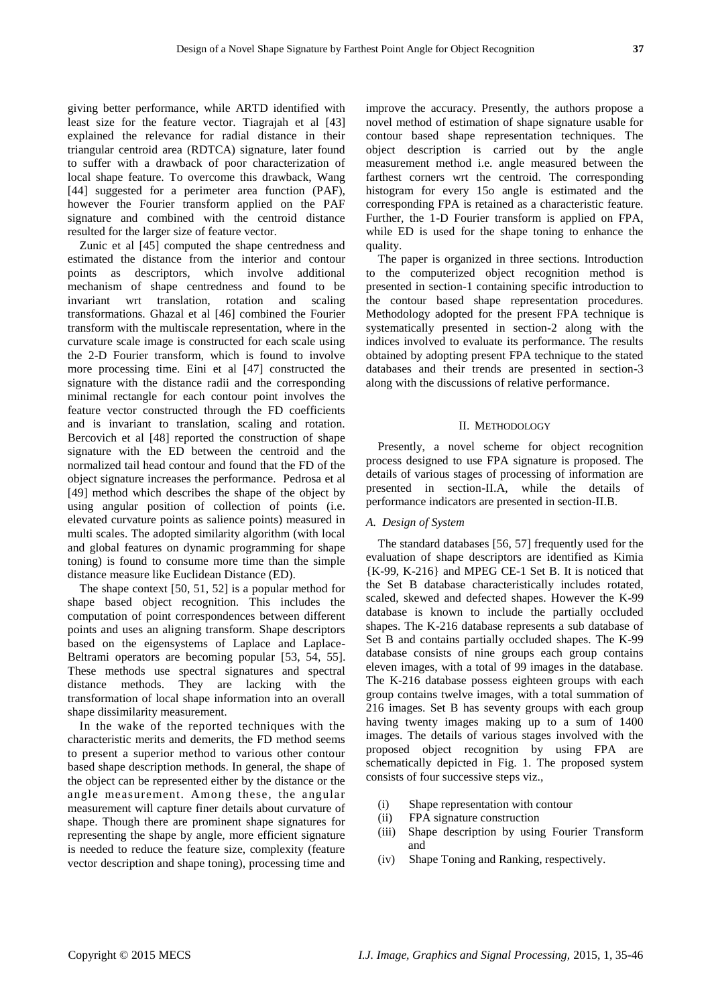giving better performance, while ARTD identified with least size for the feature vector. [Tiagrajah](http://ieeexplore.ieee.org/search/searchresult.jsp?searchWithin=p_Authors:.QT.Tiagrajah,%20V.J..QT.&newsearch=true) et al [43] explained the relevance for radial distance in their triangular centroid area (RDTCA) signature, later found to suffer with a drawback of poor characterization of local shape feature. To overcome this drawback, Wang [44] suggested for a perimeter area function (PAF), however the Fourier transform applied on the PAF signature and combined with the centroid distance resulted for the larger size of feature vector.

Zunic et al [45] computed the shape centredness and estimated the distance from the interior and contour points as descriptors, which involve additional mechanism of shape centredness and found to be invariant wrt translation, rotation and scaling transformations. Ghazal et al [46] combined the Fourier transform with the multiscale representation, where in the curvature scale image is constructed for each scale using the 2-D Fourier transform, which is found to involve more processing time. [Eini](http://ieeexplore.ieee.org/search/searchresult.jsp?searchWithin=p_Authors:.QT.Eini,%20S..QT.&searchWithin=p_Author_Ids:37659988500&newsearch=true) et al [47] constructed the signature with the distance radii and the corresponding minimal rectangle for each contour point involves the feature vector constructed through the FD coefficients and is invariant to translation, scaling and rotation. Bercovich et al [48] reported the construction of shape signature with the ED between the centroid and the normalized tail head contour and found that the FD of the object signature increases the performance. Pedrosa et al [49] method which describes the shape of the object by using angular position of collection of points (i.e. elevated curvature points as salience points) measured in multi scales. The adopted similarity algorithm (with local and global features on dynamic programming for shape toning) is found to consume more time than the simple distance measure like Euclidean Distance (ED).

The shape context [50, 51, 52] is a popular method for shape based object recognition. This includes the computation of point correspondences between different points and uses an aligning transform. Shape descriptors based on the eigensystems of Laplace and Laplace-Beltrami operators are becoming popular [53, 54, 55]. These methods use spectral signatures and spectral distance methods. They are lacking with the transformation of local shape information into an overall shape dissimilarity measurement.

In the wake of the reported techniques with the characteristic merits and demerits, the FD method seems to present a superior method to various other contour based shape description methods. In general, the shape of the object can be represented either by the distance or the angle measurement. Among these, the angular measurement will capture finer details about curvature of shape. Though there are prominent shape signatures for representing the shape by angle, more efficient signature is needed to reduce the feature size, complexity (feature vector description and shape toning), processing time and

improve the accuracy. Presently, the authors propose a novel method of estimation of shape signature usable for contour based shape representation techniques. The object description is carried out by the angle measurement method i.e. angle measured between the farthest corners wrt the centroid. The corresponding histogram for every 15o angle is estimated and the corresponding FPA is retained as a characteristic feature. Further, the 1-D Fourier transform is applied on FPA, while ED is used for the shape toning to enhance the quality.

The paper is organized in three sections. Introduction to the computerized object recognition method is presented in section-1 containing specific introduction to the contour based shape representation procedures. Methodology adopted for the present FPA technique is systematically presented in section-2 along with the indices involved to evaluate its performance. The results obtained by adopting present FPA technique to the stated databases and their trends are presented in section-3 along with the discussions of relative performance.

## II. METHODOLOGY

Presently, a novel scheme for object recognition process designed to use FPA signature is proposed. The details of various stages of processing of information are presented in section-II.A, while the details of performance indicators are presented in section-II.B.

#### *A. Design of System*

The standard databases [56, 57] frequently used for the evaluation of shape descriptors are identified as Kimia {K-99, K-216} and MPEG CE-1 Set B. It is noticed that the Set B database characteristically includes rotated, scaled, skewed and defected shapes. However the K-99 database is known to include the partially occluded shapes. The K-216 database represents a sub database of Set B and contains partially occluded shapes. The K-99 database consists of nine groups each group contains eleven images, with a total of 99 images in the database. The K-216 database possess eighteen groups with each group contains twelve images, with a total summation of 216 images. Set B has seventy groups with each group having twenty images making up to a sum of 1400 images. The details of various stages involved with the proposed object recognition by using FPA are schematically depicted in Fig. 1. The proposed system consists of four successive steps viz.,

- (i) Shape representation with contour
- (ii) FPA signature construction
- (iii) Shape description by using Fourier Transform and
- (iv) Shape Toning and Ranking, respectively.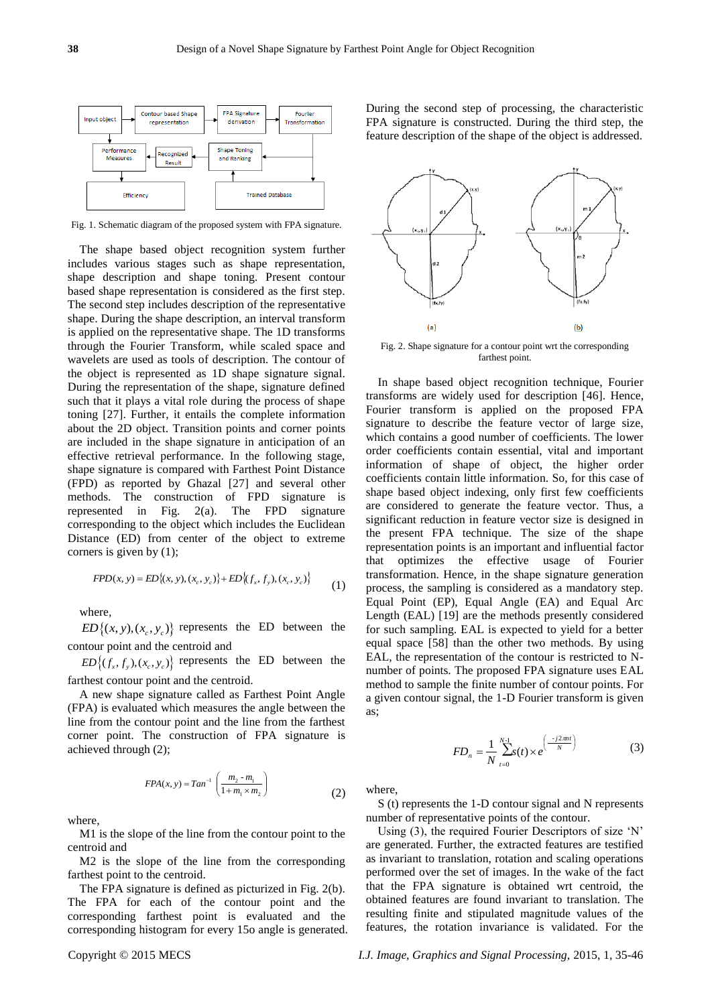

Fig. 1. Schematic diagram of the proposed system with FPA signature.

The shape based object recognition system further includes various stages such as shape representation, shape description and shape toning. Present contour based shape representation is considered as the first step. The second step includes description of the representative shape. During the shape description, an interval transform is applied on the representative shape. The 1D transforms through the Fourier Transform, while scaled space and wavelets are used as tools of description. The contour of the object is represented as 1D shape signature signal. During the representation of the shape, signature defined such that it plays a vital role during the process of shape toning [27]. Further, it entails the complete information about the 2D object. Transition points and corner points are included in the shape signature in anticipation of an effective retrieval performance. In the following stage, shape signature is compared with Farthest Point Distance (FPD) as reported by Ghazal [27] and several other methods. The construction of FPD signature is represented in Fig. 2(a). The FPD signature corresponding to the object which includes the Euclidean Distance (ED) from center of the object to extreme corners is given by (1);

$$
FPD(x, y) = ED\{(x, y), (x_c, y_c)\} + ED\{(f_x, f_y), (x_c, y_c)\}\tag{1}
$$

where,

 $ED\{(x, y), (x_c, y_c)\}$  represents the ED between the contour point and the centroid and

 $ED\left\{ (f_x, f_y), (x_c, y_c) \right\}$  represents the ED between the farthest contour point and the centroid.

A new shape signature called as Farthest Point Angle (FPA) is evaluated which measures the angle between the line from the contour point and the line from the farthest corner point. The construction of FPA signature is achieved through (2);

$$
FPA(x, y) = Tan^{-1} \left( \frac{m_2 - m_1}{1 + m_1 \times m_2} \right)
$$
 (2)

where,

M1 is the slope of the line from the contour point to the centroid and

M2 is the slope of the line from the corresponding farthest point to the centroid.

The FPA signature is defined as picturized in Fig. 2(b). The FPA for each of the contour point and the corresponding farthest point is evaluated and the corresponding histogram for every 15o angle is generated.

During the second step of processing, the characteristic FPA signature is constructed. During the third step, the feature description of the shape of the object is addressed.



Fig. 2. Shape signature for a contour point wrt the corresponding farthest point.

In shape based object recognition technique, Fourier transforms are widely used for description [46]. Hence, Fourier transform is applied on the proposed FPA signature to describe the feature vector of large size, which contains a good number of coefficients. The lower order coefficients contain essential, vital and important information of shape of object, the higher order coefficients contain little information. So, for this case of shape based object indexing, only first few coefficients are considered to generate the feature vector. Thus, a significant reduction in feature vector size is designed in the present FPA technique. The size of the shape representation points is an important and influential factor that optimizes the effective usage of Fourier transformation. Hence, in the shape signature generation process, the sampling is considered as a mandatory step. Equal Point (EP), Equal Angle (EA) and Equal Arc Length (EAL) [19] are the methods presently considered for such sampling. EAL is expected to yield for a better equal space [58] than the other two methods. By using EAL, the representation of the contour is restricted to Nnumber of points. The proposed FPA signature uses EAL method to sample the finite number of contour points. For a given contour signal, the 1-D Fourier transform is given as;

$$
FD_n = \frac{1}{N} \sum_{t=0}^{N-1} s(t) \times e^{\left(\frac{-j2\pi nt}{N}\right)}
$$
(3)

where,

S (t) represents the 1-D contour signal and N represents number of representative points of the contour.

Using (3), the required Fourier Descriptors of size 'N' are generated. Further, the extracted features are testified as invariant to translation, rotation and scaling operations performed over the set of images. In the wake of the fact that the FPA signature is obtained wrt centroid, the obtained features are found invariant to translation. The resulting finite and stipulated magnitude values of the features, the rotation invariance is validated. For the

Copyright © 2015 MECS *I.J. Image, Graphics and Signal Processing,* 2015, 1, 35-46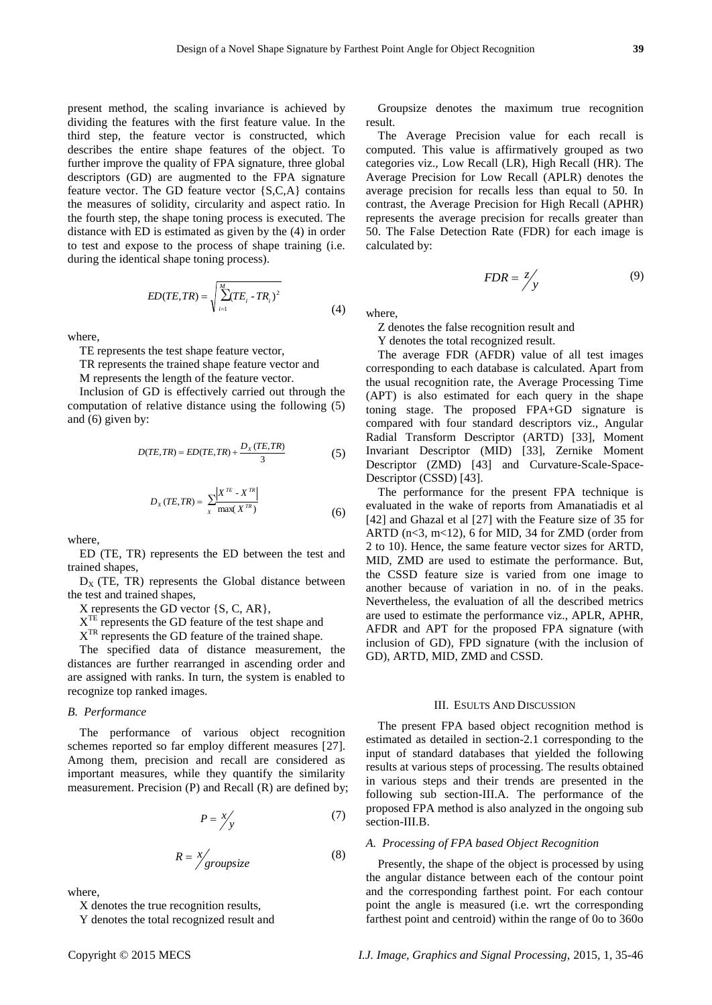present method, the scaling invariance is achieved by dividing the features with the first feature value. In the third step, the feature vector is constructed, which describes the entire shape features of the object. To further improve the quality of FPA signature, three global descriptors (GD) are augmented to the FPA signature feature vector. The GD feature vector {S,C,A} contains the measures of solidity, circularity and aspect ratio. In the fourth step, the shape toning process is executed. The distance with ED is estimated as given by the (4) in order to test and expose to the process of shape training (i.e. during the identical shape toning process).

$$
ED(TE, TR) = \sqrt{\sum_{i=1}^{M} (TE_i - TR_i)^2}
$$
 (4)

where,

TE represents the test shape feature vector,

TR represents the trained shape feature vector and

M represents the length of the feature vector.

Inclusion of GD is effectively carried out through the computation of relative distance using the following (5) and (6) given by:

$$
D(TE, TR) = ED(TE, TR) + \frac{D_x(TE, TR)}{3}
$$
 (5)

$$
D_x(TE, TR) = \sum_{x} \frac{\left| X^{TE} - X^{TR} \right|}{\max(X^{TR})}
$$
\n(6)

where,

ED (TE, TR) represents the ED between the test and trained shapes,

 $D_X$  (TE, TR) represents the Global distance between the test and trained shapes,

X represents the GD vector {S, C, AR},

X<sup>TE</sup> represents the GD feature of the test shape and

X<sup>TR</sup> represents the GD feature of the trained shape.

The specified data of distance measurement, the distances are further rearranged in ascending order and are assigned with ranks. In turn, the system is enabled to recognize top ranked images.

## *B. Performance*

The performance of various object recognition schemes reported so far employ different measures [27]. Among them, precision and recall are considered as important measures, while they quantify the similarity measurement. Precision (P) and Recall (R) are defined by;

$$
P = \frac{x}{y} \tag{7}
$$

$$
R = \frac{x}{\text{groupsize}} \tag{8}
$$

where,

X denotes the true recognition results,

Y denotes the total recognized result and

Groupsize denotes the maximum true recognition result.

The Average Precision value for each recall is computed. This value is affirmatively grouped as two categories viz., Low Recall (LR), High Recall (HR). The Average Precision for Low Recall (APLR) denotes the average precision for recalls less than equal to 50. In contrast, the Average Precision for High Recall (APHR) represents the average precision for recalls greater than 50. The False Detection Rate (FDR) for each image is calculated by:

$$
FDR = \frac{z}{y} \tag{9}
$$

where,

Z denotes the false recognition result and

Y denotes the total recognized result.

The average FDR (AFDR) value of all test images corresponding to each database is calculated. Apart from the usual recognition rate, the Average Processing Time (APT) is also estimated for each query in the shape toning stage. The proposed FPA+GD signature is compared with four standard descriptors viz., Angular Radial Transform Descriptor (ARTD) [33], Moment Invariant Descriptor (MID) [33], Zernike Moment Descriptor (ZMD) [43] and Curvature-Scale-Space-Descriptor (CSSD) [43].

The performance for the present FPA technique is evaluated in the wake of reports from Amanatiadis et al [42] and Ghazal et al [27] with the Feature size of 35 for ARTD ( $n < 3$ ,  $m < 12$ ), 6 for MID, 34 for ZMD (order from 2 to 10). Hence, the same feature vector sizes for ARTD, MID, ZMD are used to estimate the performance. But, the CSSD feature size is varied from one image to another because of variation in no. of in the peaks. Nevertheless, the evaluation of all the described metrics are used to estimate the performance viz., APLR, APHR, AFDR and APT for the proposed FPA signature (with inclusion of GD), FPD signature (with the inclusion of GD), ARTD, MID, ZMD and CSSD.

## III. ESULTS AND DISCUSSION

The present FPA based object recognition method is estimated as detailed in section-2.1 corresponding to the input of standard databases that yielded the following results at various steps of processing. The results obtained in various steps and their trends are presented in the following sub section-III.A. The performance of the proposed FPA method is also analyzed in the ongoing sub section-III.B.

## *A. Processing of FPA based Object Recognition*

Presently, the shape of the object is processed by using the angular distance between each of the contour point and the corresponding farthest point. For each contour point the angle is measured (i.e. wrt the corresponding farthest point and centroid) within the range of 0o to 360o

Copyright © 2015 MECS *I.J. Image, Graphics and Signal Processing,* 2015, 1, 35-46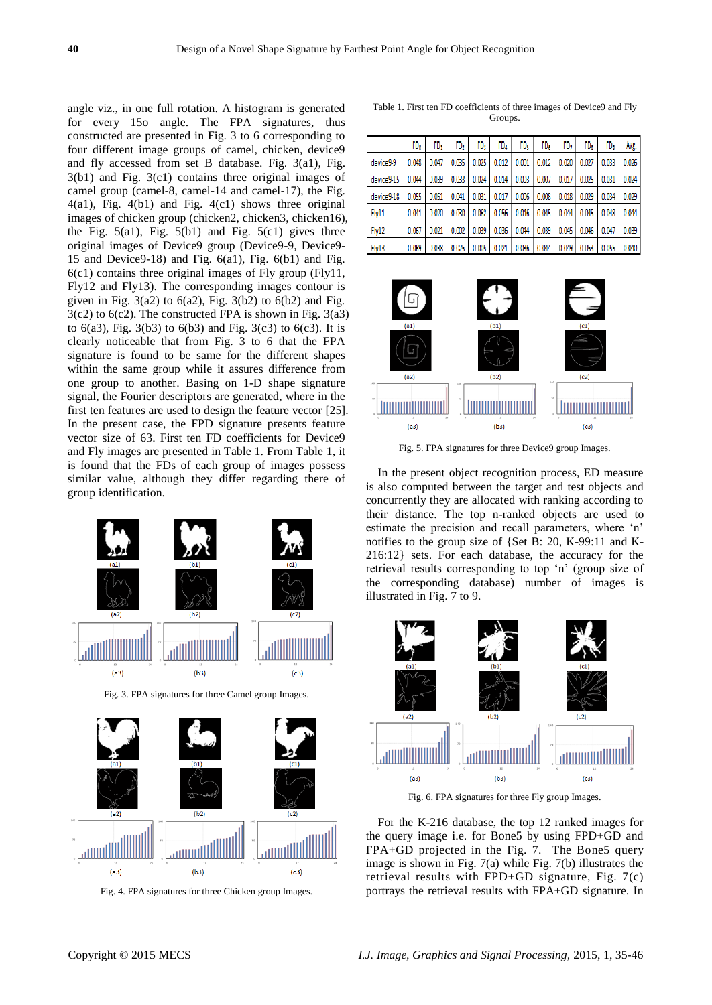angle viz., in one full rotation. A histogram is generated for every 15o angle. The FPA signatures, thus constructed are presented in Fig. 3 to 6 corresponding to four different image groups of camel, chicken, device9 and fly accessed from set B database. Fig. 3(a1), Fig. 3(b1) and Fig. 3(c1) contains three original images of camel group (camel-8, camel-14 and camel-17), the Fig. 4(a1), Fig. 4(b1) and Fig. 4(c1) shows three original images of chicken group (chicken2, chicken3, chicken16), the Fig.  $5(a1)$ , Fig.  $5(b1)$  and Fig.  $5(c1)$  gives three original images of Device9 group (Device9-9, Device9- 15 and Device9-18) and Fig.  $6(a1)$ , Fig.  $6(b1)$  and Fig. 6(c1) contains three original images of Fly group (Fly11, Fly12 and Fly13). The corresponding images contour is given in Fig.  $3(a2)$  to  $6(a2)$ , Fig.  $3(b2)$  to  $6(b2)$  and Fig.  $3(c2)$  to  $6(c2)$ . The constructed FPA is shown in Fig.  $3(a3)$ to  $6(a3)$ , Fig.  $3(b3)$  to  $6(b3)$  and Fig.  $3(c3)$  to  $6(c3)$ . It is clearly noticeable that from Fig. 3 to 6 that the FPA signature is found to be same for the different shapes within the same group while it assures difference from one group to another. Basing on 1-D shape signature signal, the Fourier descriptors are generated, where in the first ten features are used to design the feature vector [25]. In the present case, the FPD signature presents feature vector size of 63. First ten FD coefficients for Device9 and Fly images are presented in Table 1. From Table 1, it is found that the FDs of each group of images possess similar value, although they differ regarding there of group identification.



Fig. 3. FPA signatures for three Camel group Images.



Fig. 4. FPA signatures for three Chicken group Images.

Table 1. First ten FD coefficients of three images of Device9 and Fly Groups.

|            | FD.   | FD,   | FD,   | FD,   | FD.   | FD,   | FD.   | FD,   | FD.   | FD,   | Avg.  |
|------------|-------|-------|-------|-------|-------|-------|-------|-------|-------|-------|-------|
| device9-9  | 0.048 | 0.047 | 0.035 | 0.025 | 0.012 | 0.001 | 0.012 | 0.020 | 0.027 | 0.033 | 0.026 |
| device9-15 | 0.044 | 0.039 | 0.033 | 0.024 | 0.014 | 0.003 | 0.007 | 0.017 | 0.025 | 0.031 | 0.024 |
| device9-18 | 0.055 | 0.051 | 0.041 | 0.031 | 0.017 | 0.006 | 0.008 | 0.018 | 0.029 | 0.034 | 0.029 |
| Fly11      | 0.041 | 0.020 | 0.030 | 0.062 | 0.056 | 0.046 | 0.045 | 0.044 | 0.045 | 0.048 | 0.044 |
| Fly12      | 0.067 | 0.021 | 0.002 | 0.039 | 0.036 | 0.044 | 0.039 | 0.045 | 0.046 | 0.047 | 0.039 |
| Fly13      | 0.069 | 0.038 | 0.025 | 0.005 | 0.021 | 0.036 | 0.044 | 0.049 | 0.053 | 0.055 | 0.040 |



Fig. 5. FPA signatures for three Device9 group Images.

In the present object recognition process, ED measure is also computed between the target and test objects and concurrently they are allocated with ranking according to their distance. The top n-ranked objects are used to estimate the precision and recall parameters, where 'n' notifies to the group size of {Set B: 20, K-99:11 and K-216:12} sets. For each database, the accuracy for the retrieval results corresponding to top 'n' (group size of the corresponding database) number of images is illustrated in Fig. 7 to 9.



Fig. 6. FPA signatures for three Fly group Images.

For the K-216 database, the top 12 ranked images for the query image i.e. for Bone5 by using FPD+GD and FPA+GD projected in the Fig. 7. The Bone5 query image is shown in Fig. 7(a) while Fig. 7(b) illustrates the retrieval results with FPD+GD signature, Fig. 7(c) portrays the retrieval results with FPA+GD signature. In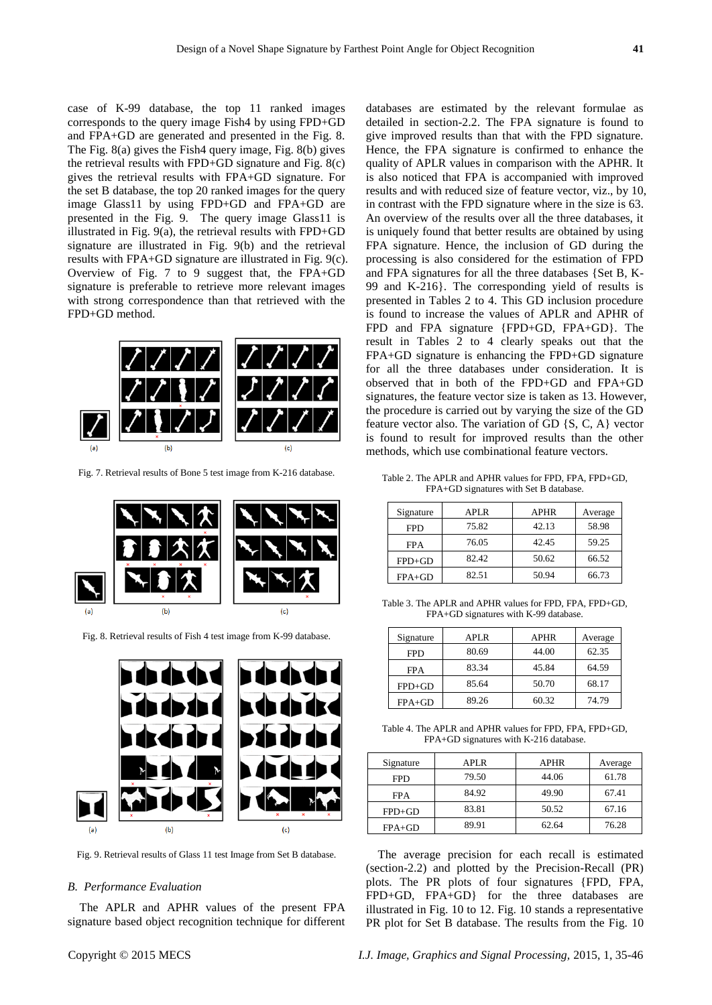case of K-99 database, the top 11 ranked images corresponds to the query image Fish4 by using FPD+GD and FPA+GD are generated and presented in the Fig. 8. The Fig. 8(a) gives the Fish4 query image, Fig. 8(b) gives the retrieval results with FPD+GD signature and Fig. 8(c) gives the retrieval results with FPA+GD signature. For the set B database, the top 20 ranked images for the query image Glass11 by using FPD+GD and FPA+GD are presented in the Fig. 9. The query image Glass11 is illustrated in Fig. 9(a), the retrieval results with FPD+GD signature are illustrated in Fig. 9(b) and the retrieval results with FPA+GD signature are illustrated in Fig. 9(c). Overview of Fig. 7 to 9 suggest that, the FPA+GD signature is preferable to retrieve more relevant images with strong correspondence than that retrieved with the FPD+GD method.



Fig. 7. Retrieval results of Bone 5 test image from K-216 database.



Fig. 8. Retrieval results of Fish 4 test image from K-99 database.



Fig. 9. Retrieval results of Glass 11 test Image from Set B database.

#### *B. Performance Evaluation*

The APLR and APHR values of the present FPA signature based object recognition technique for different databases are estimated by the relevant formulae as detailed in section-2.2. The FPA signature is found to give improved results than that with the FPD signature. Hence, the FPA signature is confirmed to enhance the quality of APLR values in comparison with the APHR. It is also noticed that FPA is accompanied with improved results and with reduced size of feature vector, viz., by 10, in contrast with the FPD signature where in the size is 63. An overview of the results over all the three databases, it is uniquely found that better results are obtained by using FPA signature. Hence, the inclusion of GD during the processing is also considered for the estimation of FPD and FPA signatures for all the three databases {Set B, K-99 and K-216}. The corresponding yield of results is presented in Tables 2 to 4. This GD inclusion procedure is found to increase the values of APLR and APHR of FPD and FPA signature {FPD+GD, FPA+GD}. The result in Tables 2 to 4 clearly speaks out that the FPA+GD signature is enhancing the FPD+GD signature for all the three databases under consideration. It is observed that in both of the FPD+GD and FPA+GD signatures, the feature vector size is taken as 13. However, the procedure is carried out by varying the size of the GD feature vector also. The variation of GD {S, C, A} vector is found to result for improved results than the other methods, which use combinational feature vectors.

Table 2. The APLR and APHR values for FPD, FPA, FPD+GD, FPA+GD signatures with Set B database.

| Signature  | APLR  | <b>APHR</b> | Average |
|------------|-------|-------------|---------|
| <b>FPD</b> | 75.82 | 42.13       | 58.98   |
| <b>FPA</b> | 76.05 | 42.45       | 59.25   |
| $FPD+GD$   | 82.42 | 50.62       | 66.52   |
| $FPA+GD$   | 82.51 | 50.94       | 66.73   |

Table 3. The APLR and APHR values for FPD, FPA, FPD+GD, FPA+GD signatures with K-99 database.

| Signature  | APLR  | <b>APHR</b> | Average |
|------------|-------|-------------|---------|
| <b>FPD</b> | 80.69 | 44.00       | 62.35   |
| <b>FPA</b> | 83.34 | 45.84       | 64.59   |
| $FPD+GD$   | 85.64 | 50.70       | 68.17   |
| $FPA+GD$   | 89.26 | 60.32       | 74.79   |

Table 4. The APLR and APHR values for FPD, FPA, FPD+GD, FPA+GD signatures with K-216 database.

| Signature  | APLR. | <b>APHR</b> | Average |
|------------|-------|-------------|---------|
| <b>FPD</b> | 79.50 | 44.06       | 61.78   |
| <b>FPA</b> | 84.92 | 49.90       | 67.41   |
| $FPD+GD$   | 83.81 | 50.52       | 67.16   |
| $FPA+GD$   | 89.91 | 62.64       | 76.28   |

The average precision for each recall is estimated (section-2.2) and plotted by the Precision-Recall (PR) plots. The PR plots of four signatures {FPD, FPA, FPD+GD, FPA+GD} for the three databases are illustrated in Fig. 10 to 12. Fig. 10 stands a representative PR plot for Set B database. The results from the Fig. 10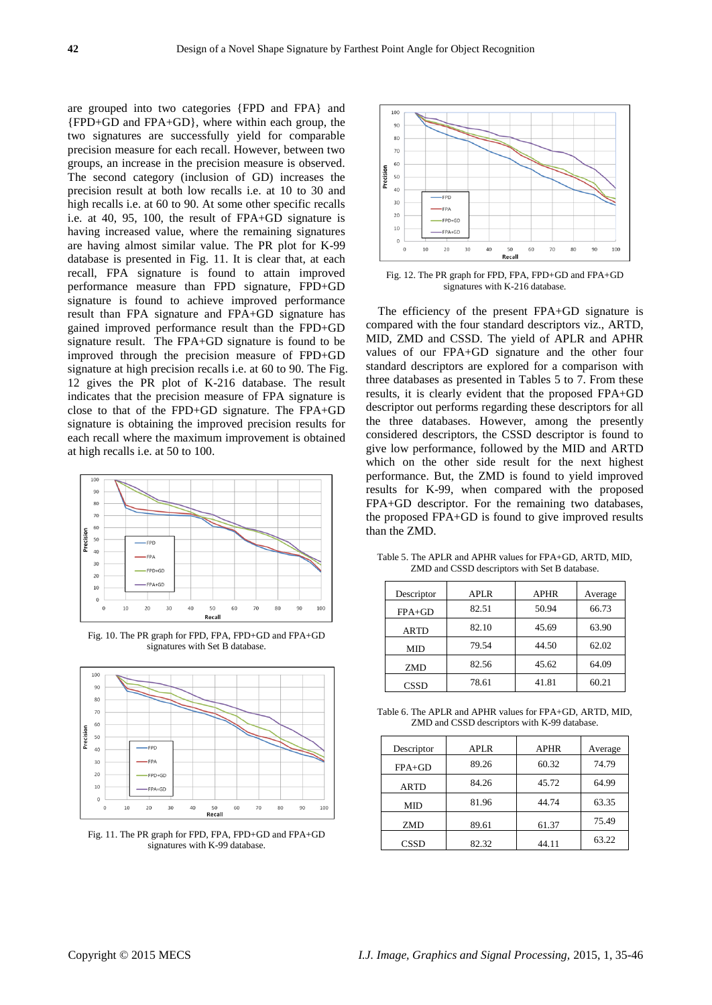are grouped into two categories {FPD and FPA} and {FPD+GD and FPA+GD}, where within each group, the two signatures are successfully yield for comparable precision measure for each recall. However, between two groups, an increase in the precision measure is observed. The second category (inclusion of GD) increases the precision result at both low recalls i.e. at 10 to 30 and high recalls i.e. at 60 to 90. At some other specific recalls i.e. at 40, 95, 100, the result of FPA+GD signature is having increased value, where the remaining signatures are having almost similar value. The PR plot for K-99 database is presented in Fig. 11. It is clear that, at each recall, FPA signature is found to attain improved performance measure than FPD signature, FPD+GD signature is found to achieve improved performance result than FPA signature and FPA+GD signature has gained improved performance result than the FPD+GD signature result. The FPA+GD signature is found to be improved through the precision measure of FPD+GD signature at high precision recalls i.e. at 60 to 90. The Fig. 12 gives the PR plot of K-216 database. The result indicates that the precision measure of FPA signature is close to that of the FPD+GD signature. The FPA+GD signature is obtaining the improved precision results for each recall where the maximum improvement is obtained at high recalls i.e. at 50 to 100.



Fig. 10. The PR graph for FPD, FPA, FPD+GD and FPA+GD signatures with Set B database.



Fig. 11. The PR graph for FPD, FPA, FPD+GD and FPA+GD signatures with K-99 database.



Fig. 12. The PR graph for FPD, FPA, FPD+GD and FPA+GD signatures with K-216 database.

The efficiency of the present FPA+GD signature is compared with the four standard descriptors viz., ARTD, MID, ZMD and CSSD. The yield of APLR and APHR values of our FPA+GD signature and the other four standard descriptors are explored for a comparison with three databases as presented in Tables 5 to 7. From these results, it is clearly evident that the proposed FPA+GD descriptor out performs regarding these descriptors for all the three databases. However, among the presently considered descriptors, the CSSD descriptor is found to give low performance, followed by the MID and ARTD which on the other side result for the next highest performance. But, the ZMD is found to yield improved results for K-99, when compared with the proposed FPA+GD descriptor. For the remaining two databases, the proposed FPA+GD is found to give improved results than the ZMD.

| Descriptor  | <b>APLR</b> | <b>APHR</b> | Average |
|-------------|-------------|-------------|---------|
| $FPA+GD$    | 82.51       | 50.94       | 66.73   |
| <b>ARTD</b> | 82.10       | 45.69       | 63.90   |
| MID         | 79.54       | 44.50       | 62.02   |
| <b>ZMD</b>  | 82.56       | 45.62       | 64.09   |
| <b>CSSD</b> | 78.61       | 41.81       | 60.21   |

Table 5. The APLR and APHR values for FPA+GD, ARTD, MID, ZMD and CSSD descriptors with Set B database.

Table 6. The APLR and APHR values for FPA+GD, ARTD, MID, ZMD and CSSD descriptors with K-99 database.

| Descriptor  | <b>APLR</b> | <b>APHR</b> | Average |
|-------------|-------------|-------------|---------|
| $FPA+GD$    | 89.26       | 60.32       | 74.79   |
| <b>ARTD</b> | 84.26       | 45.72       | 64.99   |
| MID         | 81.96       | 44.74       | 63.35   |
| <b>ZMD</b>  | 89.61       | 61.37       | 75.49   |
| <b>CSSD</b> | 82.32       | 44.11       | 63.22   |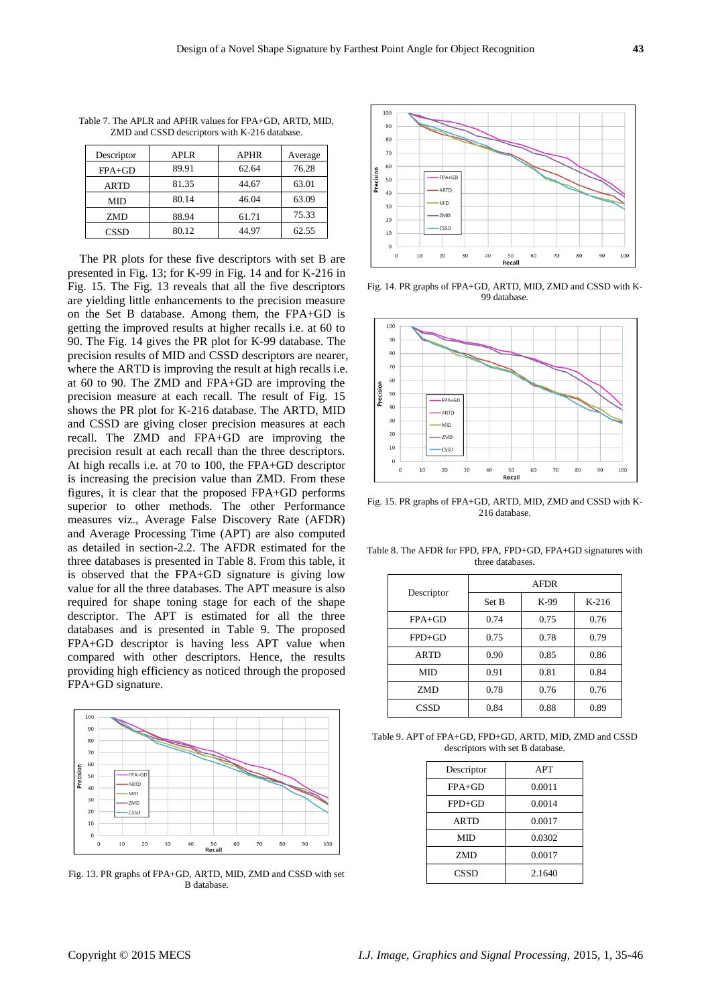| Descriptor  | APLR  | <b>APHR</b> | Average |
|-------------|-------|-------------|---------|
| $FPA+GD$    | 89.91 | 62.64       | 76.28   |
| <b>ARTD</b> | 81.35 | 44.67       | 63.01   |
| <b>MID</b>  | 80.14 | 46.04       | 63.09   |
| <b>ZMD</b>  | 88.94 | 61.71       | 75.33   |
| <b>CSSD</b> | 80.12 | 44.97       | 62.55   |

Table 7. The APLR and APHR values for FPA+GD, ARTD, MID, ZMD and CSSD descriptors with K-216 database.

The PR plots for these five descriptors with set B are presented in Fig. 13; for K-99 in Fig. 14 and for K-216 in Fig. 15. The Fig. 13 reveals that all the five descriptors are yielding little enhancements to the precision measure on the Set B database. Among them, the FPA+GD is getting the improved results at higher recalls i.e. at 60 to 90. The Fig. 14 gives the PR plot for K-99 database. The precision results of MID and CSSD descriptors are nearer, where the ARTD is improving the result at high recalls i.e. at 60 to 90. The ZMD and FPA+GD are improving the precision measure at each recall. The result of Fig. 15 shows the PR plot for K-216 database. The ARTD, MID and CSSD are giving closer precision measures at each recall. The ZMD and FPA+GD are improving the precision result at each recall than the three descriptors. At high recalls i.e. at 70 to 100, the FPA+GD descriptor is increasing the precision value than ZMD. From these figures, it is clear that the proposed FPA+GD performs superior to other methods. The other Performance measures viz., Average False Discovery Rate (AFDR) and Average Processing Time (APT) are also computed as detailed in section-2.2. The AFDR estimated for the three databases is presented in Table 8. From this table, it is observed that the FPA+GD signature is giving low value for all the three databases. The APT measure is also required for shape toning stage for each of the shape descriptor. The APT is estimated for all the three databases and is presented in Table 9. The proposed FPA+GD descriptor is having less APT value when compared with other descriptors. Hence, the results providing high efficiency as noticed through the proposed FPA+GD signature.



Fig. 13. PR graphs of FPA+GD, ARTD, MID, ZMD and CSSD with set B database.



Fig. 14. PR graphs of FPA+GD, ARTD, MID, ZMD and CSSD with K-99 database.



Fig. 15. PR graphs of FPA+GD, ARTD, MID, ZMD and CSSD with K-216 database.

Table 8. The AFDR for FPD, FPA, FPD+GD, FPA+GD signatures with three databases.

| Descriptor  | <b>AFDR</b> |      |         |  |  |
|-------------|-------------|------|---------|--|--|
|             | Set B       | K-99 | $K-216$ |  |  |
| $FPA+GD$    | 0.74        | 0.75 | 0.76    |  |  |
| $FPD+GD$    | 0.75        | 0.78 | 0.79    |  |  |
| <b>ARTD</b> | 0.90        | 0.85 | 0.86    |  |  |
| <b>MID</b>  | 0.91        | 0.81 | 0.84    |  |  |
| <b>ZMD</b>  | 0.78        | 0.76 | 0.76    |  |  |
| CSSD        | 0.84        | 0.88 | 0.89    |  |  |

Table 9. APT of FPA+GD, FPD+GD, ARTD, MID, ZMD and CSSD descriptors with set B database.

| Descriptor  | <b>APT</b> |
|-------------|------------|
| $FPA+GD$    | 0.0011     |
| $FPD+GD$    | 0.0014     |
| <b>ARTD</b> | 0.0017     |
| <b>MID</b>  | 0.0302     |
| <b>ZMD</b>  | 0.0017     |
| CSSD        | 2.1640     |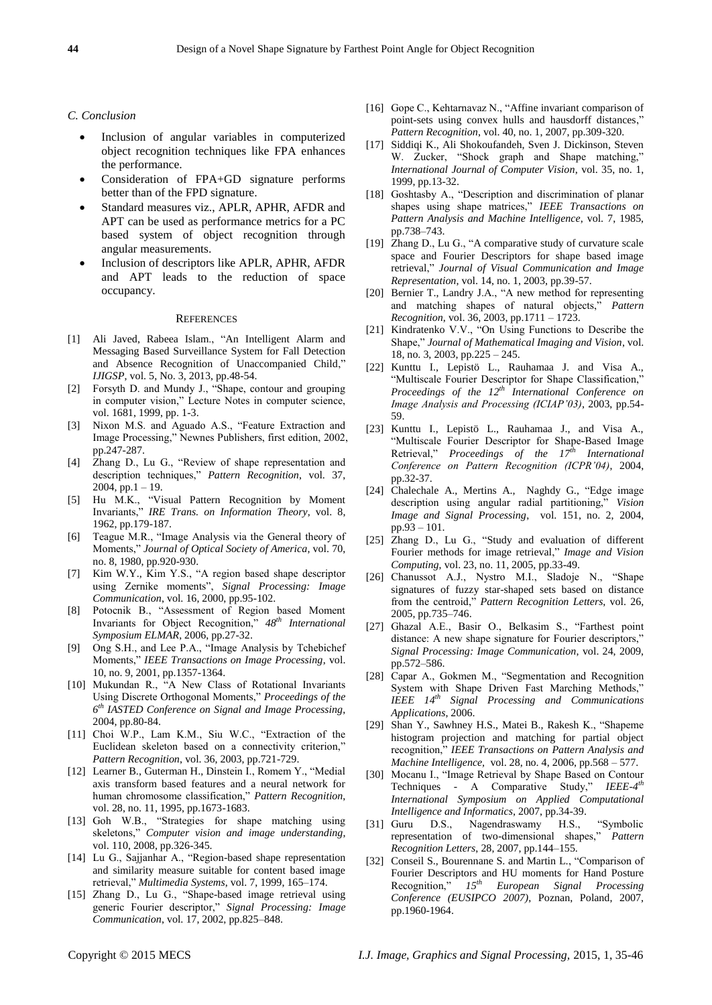#### *C. Conclusion*

- Inclusion of angular variables in computerized object recognition techniques like FPA enhances the performance.
- Consideration of FPA+GD signature performs better than of the FPD signature.
- Standard measures viz., APLR, APHR, AFDR and APT can be used as performance metrics for a PC based system of object recognition through angular measurements.
- Inclusion of descriptors like APLR, APHR, AFDR and APT leads to the reduction of space occupancy.

## **REFERENCES**

- [1] Ali Javed, Rabeea Islam., "An Intelligent Alarm and Messaging Based Surveillance System for Fall Detection and Absence Recognition of Unaccompanied Child," *IJIGSP*, vol. 5, No. 3, 2013, pp.48-54.
- [2] Forsyth D. and Mundy J., "Shape, contour and grouping in computer vision," Lecture Notes in computer science, vol. 1681, 1999, pp. 1-3.
- [3] Nixon M.S. and Aguado A.S., "Feature Extraction and Image Processing," Newnes Publishers, first edition, 2002, pp.247-287.
- [4] Zhang D., Lu G., "Review of shape representation and description techniques," Pattern Recognition, vol. 37, 2004, pp.1 – 19.
- [5] Hu M.K., "Visual Pattern Recognition by Moment Invariants," IRE Trans. on Information Theory, vol. 8, 1962, pp.179-187.
- [6] Teague M.R., "Image Analysis via the General theory of Moments,‖ *Journal of Optical Society of America*, vol. 70, no. 8, 1980, pp.920-930.
- [7] Kim W.Y., Kim Y.S., "A region based shape descriptor using Zernike moments", *Signal Processing: Image Communication*, vol. 16, 2000, pp.95-102.
- [8] Potocnik B., "Assessment of Region based Moment Invariants for Object Recognition,"  $48^{th}$  *International Symposium ELMAR*, 2006, pp.27-32.
- [9] Ong S.H., and Lee P.A., "Image Analysis by Tchebichef Moments," *IEEE Transactions on Image Processing*, vol. 10, no. 9, 2001, pp.1357-1364.
- [10] Mukundan R., "A New Class of Rotational Invariants Using Discrete Orthogonal Moments," Proceedings of the *6 th IASTED Conference on Signal and Image Processing*, 2004, pp.80-84.
- [11] Choi W.P., Lam K.M., Siu W.C., "Extraction of the Euclidean skeleton based on a connectivity criterion," *Pattern Recognition*, vol. 36, 2003, pp.721-729.
- [12] Learner B., Guterman H., Dinstein I., Romem Y., "Medial axis transform based features and a neural network for human chromosome classification," Pattern Recognition, vol. 28, no. 11, 1995, pp.1673-1683.
- [13] Goh W.B., "Strategies for shape matching using skeletons," Computer vision and image understanding, vol. 110, 2008, pp.326-345.
- [14] Lu G., Sajjanhar A., "Region-based shape representation and similarity measure suitable for content based image retrieval," *Multimedia Systems*, vol. 7, 1999, 165-174.
- [15] Zhang D., Lu G., "Shape-based image retrieval using generic Fourier descriptor," Signal Processing: Image *Communication*, vol. 17, 2002, pp.825–848.
- [16] Gope C., Kehtarnavaz N., "Affine invariant comparison of point-sets using convex hulls and hausdorff distances," *Pattern Recognition*, vol. 40, no. 1, 2007, pp.309-320.
- [17] Siddiqi K., Ali Shokoufandeh, Sven J. Dickinson, Steven W. Zucker, "Shock graph and Shape matching," *International Journal of Computer Vision*, vol. 35, no. 1, 1999, pp.13-32.
- [18] Goshtasby A., "Description and discrimination of planar shapes using shape matrices," IEEE Transactions on *Pattern Analysis and Machine Intelligence*, vol. 7, 1985, pp.738–743.
- [19] Zhang D., Lu G., "A comparative study of curvature scale [space and Fourier Descriptors for shape based image](http://www.sciencedirect.com/science/article/pii/S1047320303000038)  [retrieval,](http://www.sciencedirect.com/science/article/pii/S1047320303000038)‖ *Journal of Visual Communication and Image Representation*, vol. 14, no. 1, 2003, pp.39-57.
- [20] Bernier T., Landry J.A., "A new method for representing and matching shapes of natural objects,<sup>3</sup> *Pattern Recognition*, vol. 36, 2003, pp.1711 – 1723.
- [21] [Kindratenko](http://dl.acm.org/author_page.cfm?id=81100299775&coll=DL&dl=ACM&trk=0&cfid=373633883&cftoken=91063799) V.V., "On Using Functions to Describe the Shape," Journal of Mathematical Imaging and Vision, vol. 18, no. 3, 2003, pp.225 – 245.
- [22] Kunttu I., Lepistö L., Rauhamaa J. and Visa A., "Multiscale Fourier Descriptor for Shape Classification," *Proceedings of the 12th International Conference on Image Analysis and Processing (ICIAP'03)*, 2003, pp.54- 59.
- [23] Kunttu I., Lepistö L., Rauhamaa J., and Visa A., ―Multiscale Fourier Descriptor for Shape-Based Image Retrieval,‖ *Proceedings of the 17th International Conference on Pattern Recognition (ICPR'04)*, 2004, pp.32-37.
- [24] [Chalechale](http://ieeexplore.ieee.org/search/searchresult.jsp?searchWithin=p_Authors:.QT.Chalechale,%20A..QT.&searchWithin=p_Author_Ids:37285113700&newsearch=true) A., [Mertins](http://ieeexplore.ieee.org/search/searchresult.jsp?searchWithin=p_Authors:.QT.Mertins,%20A..QT.&searchWithin=p_Author_Ids:37271261500&newsearch=true) A., Naghdy G., "Edge image description using angular radial partitioning," Vision *[Image and Signal Processing](http://ieeexplore.ieee.org/xpl/RecentIssue.jsp?punumber=2200)*, vol. 151, no. [2,](http://ieeexplore.ieee.org/xpl/tocresult.jsp?isnumber=28678) 2004, pp.93 – 101.
- [25] Zhang D., Lu G., "Study and evaluation of different [Fourier methods for image retrieval,](http://www.sciencedirect.com/science/article/pii/S0262885604001763)" *Image and Vision Computing*, vol. 23, no. 11, 2005, pp.33-49.
- [26] Chanussot A.J., Nystro M.I., Sladoje N., "Shape signatures of fuzzy star-shaped sets based on distance from the centroid," Pattern Recognition Letters, vol. 26, 2005, pp.735–746.
- [27] Ghazal A.E., Basir O., Belkasim S., "Farthest point distance: A new shape signature for Fourier descriptors," *Signal Processing: Image Communication*, vol. 24, 2009, pp.572–586.
- [28] Capar A., Gokmen M., "Segmentation and Recognition System with Shape Driven Fast Marching Methods," *IEEE 14th Signal Processing and Communications Applications*, 2006.
- [29] Shan Y., [Sawhney](http://ieeexplore.ieee.org/search/searchresult.jsp?searchWithin=p_Authors:.QT.Sawhney,%20H.S..QT.&searchWithin=p_Author_Ids:37269465000&newsearch=true) H.S., [Matei](http://ieeexplore.ieee.org/search/searchresult.jsp?searchWithin=p_Authors:.QT.Matei,%20B..QT.&searchWithin=p_Author_Ids:37282893800&newsearch=true) B., [Rakesh](http://ieeexplore.ieee.org/search/searchresult.jsp?searchWithin=p_Authors:.QT.Kumar,%20Rakesh.QT.&searchWithin=p_Author_Ids:37272667800&newsearch=true) K., "Shapeme histogram projection and matching for partial object recognition,‖ *IEEE Transactions on [Pattern Analysis and](http://ieeexplore.ieee.org/xpl/RecentIssue.jsp?punumber=34)  [Machine Intelligence,](http://ieeexplore.ieee.org/xpl/RecentIssue.jsp?punumber=34)* vol. 28, no. 4, 2006, pp.568 – 577.
- [30] Mocanu I., "Image Retrieval by Shape Based on Contour Techniques - A Comparative Study," IEEE-4<sup>th</sup> *International Symposium on Applied Computational Intelligence and Informatics*, 2007, pp.34-39.
- [31] Guru D.S., Nagendraswamy H.S., "Symbolic representation of two-dimensional shapes," Pattern *Recognition Letters*, 28, 2007, pp.144–155.
- [32] Conseil S., Bourennane S. and Martin L., "Comparison of Fourier Descriptors and HU moments for Hand Posture Recognition,‖ *15th European Signal Processing Conference (EUSIPCO 2007)*, Poznan, Poland, 2007, pp.1960-1964.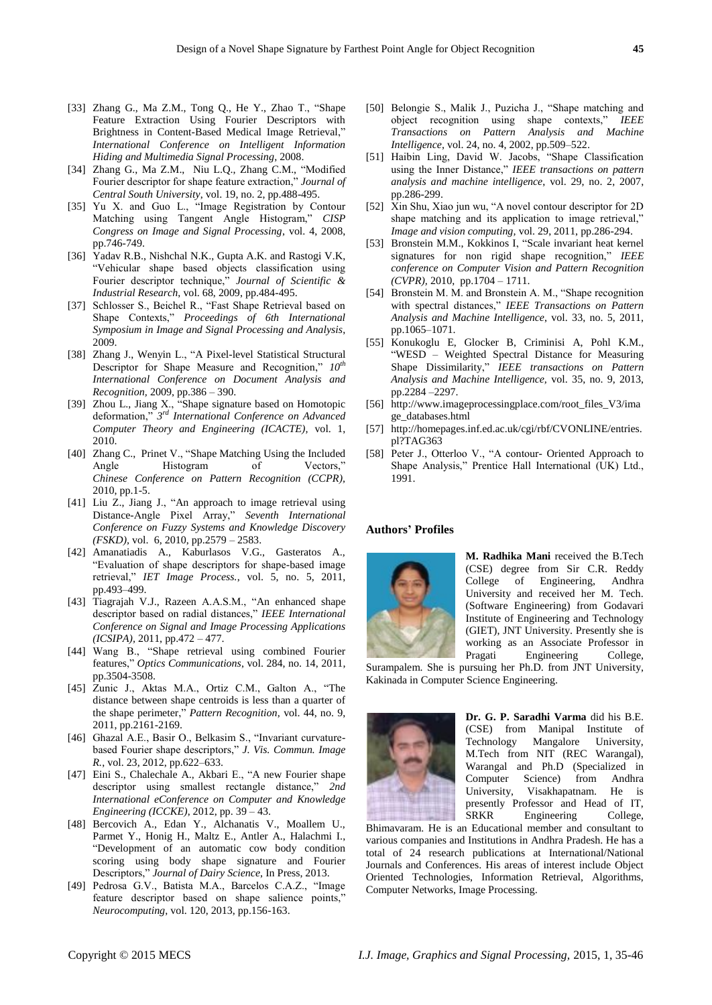- [33] [Zhang](http://ieeexplore.ieee.org/search/searchresult.jsp?searchWithin=p_Authors:.QT.Gang%20Zhang.QT.&searchWithin=p_Author_Ids:37676625400&newsearch=true) G., [Ma](http://ieeexplore.ieee.org/search/searchresult.jsp?searchWithin=p_Authors:.QT.Ma,%20Z.M..QT.&searchWithin=p_Author_Ids:37401039800&newsearch=true) Z.M., [Tong](http://ieeexplore.ieee.org/search/searchresult.jsp?searchWithin=p_Authors:.QT.Qiang%20Tong.QT.&searchWithin=p_Author_Ids:37530355800&newsearch=true) Q., [He](http://ieeexplore.ieee.org/search/searchresult.jsp?searchWithin=p_Authors:.QT.Ying%20He.QT.&searchWithin=p_Author_Ids:37690085600&newsearch=true) Y., [Zhao](http://ieeexplore.ieee.org/search/searchresult.jsp?searchWithin=p_Authors:.QT.Tienan%20Zhao.QT.&searchWithin=p_Author_Ids:37695572600&newsearch=true) T., "Shape [Feature Extraction Using Fourier Descriptors with](http://ieeexplore.ieee.org/xpl/articleDetails.jsp?tp=&arnumber=4604010&refinements%3D4291944822%26ranges%3D2005_2014_p_Publication_Year%26matchBoolean%3Dtrue%26searchField%3DSearch_All%26queryText%3D%28shape+signature%29)  [Brightness in Content-Based Medical Image Retrieval,](http://ieeexplore.ieee.org/xpl/articleDetails.jsp?tp=&arnumber=4604010&refinements%3D4291944822%26ranges%3D2005_2014_p_Publication_Year%26matchBoolean%3Dtrue%26searchField%3DSearch_All%26queryText%3D%28shape+signature%29)" *International Conference on Intelligent Information Hiding and Multimedia Signal Processing*, 2008.
- [34] [Zhang](http://link.springer.com/search?facet-author=%22Gang+Zhang+%E5%BC%A0%E5%88%9A%22) G., [Ma Z.M.,](http://link.springer.com/search?facet-author=%22Zong-min+Ma+%E9%A9%AC%E5%AE%97%E6%B0%91%22) [Niu L.Q.,](http://link.springer.com/search?facet-author=%22Lian-qiang+Niu+%E7%89%9B%E8%BF%9E%E5%BC%BA%22) Zhang C.M., "Modified Fourier descriptor for shape feature extraction," *Journal of [Central South University](http://link.springer.com/journal/11771)*, vol. 19, no. 2, pp.488-495.
- [35] Yu X. and Guo L., "Image Registration by Contour Matching using Tangent Angle Histogram," CISP *Congress on Image and Signal Processing*, vol. 4, 2008, pp.746-749.
- [36] Yadav R.B., Nishchal N.K., Gupta A.K. and Rastogi V.K, ―Vehicular shape based objects classification using Fourier descriptor technique," Journal of Scientific & *Industrial Research*, vol. 68, 2009, pp.484-495.
- [37] Schlosser S., Beichel R., "Fast Shape Retrieval based on Shape Contexts," Proceedings of 6th International *Symposium in Image and Signal Processing and Analysis*, 2009.
- [38] [Zhang](http://ieeexplore.ieee.org/search/searchresult.jsp?searchWithin=p_Authors:.QT.Jing%20Zhang.QT.&searchWithin=p_Author_Ids:38108300700&newsearch=true) J., [Wenyin](http://ieeexplore.ieee.org/search/searchresult.jsp?searchWithin=p_Authors:.QT.Liu%20Wenyin.QT.&searchWithin=p_Author_Ids:37273811400&newsearch=true) L., "A Pixel-level Statistical Structural Descriptor for Shape Measure and Recognition,"  $10^{th}$ *International Conference on [Document Analysis and](http://ieeexplore.ieee.org/xpl/mostRecentIssue.jsp?punumber=5277471)  [Recognition,](http://ieeexplore.ieee.org/xpl/mostRecentIssue.jsp?punumber=5277471)* 2009, pp.386 – 390.
- [39] [Zhou](http://ieeexplore.ieee.org/search/searchresult.jsp?searchWithin=p_Authors:.QT.Li%20Zhou.QT.&searchWithin=p_Author_Ids:38194404200&newsearch=true) L., [Jiang](http://ieeexplore.ieee.org/search/searchresult.jsp?searchWithin=p_Authors:.QT.Xinhua%20Jiang.QT.&searchWithin=p_Author_Ids:37290783200&newsearch=true) X., "Shape signature based on Homotopic deformation,‖ *3 rd [International Conference](http://ieeexplore.ieee.org/xpl/articleDetails.jsp?tp=&arnumber=5579043&refinements%3D4291944822%26ranges%3D2005_2014_p_Publication_Year%26matchBoolean%3Dtrue%26searchField%3DSearch_All%26queryText%3D%28shape+signature%29) on [Advanced](http://ieeexplore.ieee.org/xpl/mostRecentIssue.jsp?punumber=5564353)  [Computer Theory and Engineering \(ICACTE\),](http://ieeexplore.ieee.org/xpl/mostRecentIssue.jsp?punumber=5564353)* vol. 1, [2010.](http://ieeexplore.ieee.org/xpl/articleDetails.jsp?tp=&arnumber=5579043&refinements%3D4291944822%26ranges%3D2005_2014_p_Publication_Year%26matchBoolean%3Dtrue%26searchField%3DSearch_All%26queryText%3D%28shape+signature%29)
- [40] [Zhang C.,](http://ieeexplore.ieee.org/search/searchresult.jsp?searchWithin=p_Authors:.QT.Zhang,%20C..QT.&searchWithin=p_Author_Ids:37400233800&newsearch=true) [Prinet](http://ieeexplore.ieee.org/search/searchresult.jsp?searchWithin=p_Authors:.QT.Prinet,%20V..QT.&searchWithin=p_Author_Ids:37295311500&newsearch=true) V., "Shape Matching Using the Included Angle Histogram of Vectors," *[Chinese Conference on Pattern Recognition \(CCPR\),](http://ieeexplore.ieee.org/xpl/mostRecentIssue.jsp?punumber=5654671)* [2010, pp.1-5.](http://ieeexplore.ieee.org/xpl/mostRecentIssue.jsp?punumber=5654671)
- [41] [Liu](http://ieeexplore.ieee.org/search/searchresult.jsp?searchWithin=p_Authors:.QT.Zhuoxin%20Liu.QT.&searchWithin=p_Author_Ids:37533670200&newsearch=true) Z., [Jiang](http://ieeexplore.ieee.org/search/searchresult.jsp?searchWithin=p_Authors:.QT.Jinshan%20Jiang.QT.&searchWithin=p_Author_Ids:37537191400&newsearch=true) J., "An approach to image retrieval using [Distance-Angle Pixel Array,‖](http://ieeexplore.ieee.org/xpl/articleDetails.jsp?tp=&arnumber=5569839&matchBoolean%3Dtrue%26searchField%3DSearch_All%26queryText%3D%28%28contour%29+AND+angle+histogram%29) *Seventh International [Conference on Fuzzy Systems and Knowledge Discovery](http://ieeexplore.ieee.org/xpl/articleDetails.jsp?tp=&arnumber=5569839&matchBoolean%3Dtrue%26searchField%3DSearch_All%26queryText%3D%28%28contour%29+AND+angle+histogram%29)  [\(FSKD\),](http://ieeexplore.ieee.org/xpl/articleDetails.jsp?tp=&arnumber=5569839&matchBoolean%3Dtrue%26searchField%3DSearch_All%26queryText%3D%28%28contour%29+AND+angle+histogram%29)* vol.6, 2010, pp.2579 – 2583.
- [42] Amanatiadis A., Kaburlasos V.G., Gasteratos A., ―Evaluation of shape descriptors for shape-based image retrieval," IET Image Process., vol. 5, no. 5, 2011, pp.493–499.
- [43] [Tiagrajah](http://ieeexplore.ieee.org/search/searchresult.jsp?searchWithin=p_Authors:.QT.Tiagrajah,%20V.J..QT.&newsearch=true) V.J., [Razeen](http://ieeexplore.ieee.org/search/searchresult.jsp?searchWithin=p_Authors:.QT.Razeen,%20A.A.S.M..QT.&newsearch=true) A.A.S.M., "An enhanced shape descriptor based on radial distances," IEEE International *[Conference on Signal and Image Processing Applications](http://ieeexplore.ieee.org/xpl/articleDetails.jsp?tp=&arnumber=6144073&refinements%3D4291944822%26ranges%3D2005_2014_p_Publication_Year%26matchBoolean%3Dtrue%26searchField%3DSearch_All%26queryText%3D%28shape+signature%29)  [\(ICSIPA\),](http://ieeexplore.ieee.org/xpl/articleDetails.jsp?tp=&arnumber=6144073&refinements%3D4291944822%26ranges%3D2005_2014_p_Publication_Year%26matchBoolean%3Dtrue%26searchField%3DSearch_All%26queryText%3D%28shape+signature%29)* 2011, pp.472 – 477.
- [44] Wang B., "Shape retrieval using combined Fourier [features,](http://www.sciencedirect.com/science/article/pii/S0030401811003348)" *Optics Communications*, vol. 284, no. 14, 2011, pp.3504-3508.
- [45] Zunic J., Aktas M.A., Ortiz C.M., Galton A., "The [distance between shape centroids is less than a quarter of](http://www.sciencedirect.com/science/article/pii/S0031320311000884)  the shape perimeter," *Pattern Recognition*, vol. 44, no. 9, 2011, pp.2161-2169.
- [46] Ghazal A.E., Basir O., Belkasim S., "Invariant curvaturebased Fourier shape descriptors," *J. Vis. Commun. Image R.*, vol. 23, 2012, pp.622–633.
- [47] [Eini](http://ieeexplore.ieee.org/search/searchresult.jsp?searchWithin=p_Authors:.QT.Eini,%20S..QT.&searchWithin=p_Author_Ids:37659988500&newsearch=true) S., [Chalechale](http://ieeexplore.ieee.org/search/searchresult.jsp?searchWithin=p_Authors:.QT.Chalechale,%20A..QT.&searchWithin=p_Author_Ids:37285113700&newsearch=true) A., [Akbari](http://ieeexplore.ieee.org/search/searchresult.jsp?searchWithin=p_Authors:.QT.Akbari,%20E..QT.&searchWithin=p_Author_Ids:38542622100&newsearch=true) E., "A new Fourier shape descriptor using smallest rectangle distance," 2nd *[International eConference on Computer and Knowledge](http://ieeexplore.ieee.org/xpl/mostRecentIssue.jsp?punumber=6381753)  [Engineering \(ICCKE\)](http://ieeexplore.ieee.org/xpl/mostRecentIssue.jsp?punumber=6381753)*, 2012, pp. 39 – 43.
- [48] Bercovich A., Edan Y., Alchanatis V., Moallem U., Parmet Y., Honig H., Maltz E., Antler A., Halachmi I., [―Development of an automatic cow body condition](http://www.sciencedirect.com/science/article/pii/S0022030213006589)  [scoring using body shape signature and Fourier](http://www.sciencedirect.com/science/article/pii/S0022030213006589)  Descriptors," *Journal of Dairy Science*, In Press, 2013.
- [49] Pedrosa G.V., Batista M.A., Barcelos C.A.Z., "Image feature descriptor based on shape salience points," *Neurocomputing*, vol. 120, 2013, pp.156-163.
- [50] Belongie S., Malik J., Puzicha J., "Shape matching and object recognition using shape contexts,‖ *IEEE Transactions on Pattern Analysis and Machine Intelligence*, vol. 24, no. 4, 2002, pp.509–522.
- [51] Haibin Ling, David W. Jacobs, "Shape Classification using the Inner Distance," *IEEE transactions on pattern analysis and machine intelligence*, vol. 29, no. 2, 2007, pp.286-299.
- [52] Xin Shu, Xiao jun wu, "A novel contour descriptor for 2D shape matching and its application to image retrieval," *Image and vision computing,* vol. 29, 2011, pp.286-294.
- [53] [Bronstein M.M.,](http://ieeexplore.ieee.org/search/searchresult.jsp?searchWithin=p_Authors:.QT.Bronstein,%20M.M..QT.&searchWithin=p_Author_Ids:37327098600&newsearch=true) [Kokkinos I,](http://ieeexplore.ieee.org/search/searchresult.jsp?searchWithin=p_Authors:.QT.Kokkinos,%20I..QT.&searchWithin=p_Author_Ids:37330875100&newsearch=true) "Scale invariant heat kernel signatures for [non rigid shape recognition,](http://ieeexplore.ieee.org/xpl/articleDetails.jsp?tp=&arnumber=5539838&queryText%3DScale-invariant+heat+kernel+signatures+for+non-rigid+shape+recognition)" *IEEE conference on [Computer Vision and Pattern](http://ieeexplore.ieee.org/xpl/mostRecentIssue.jsp?punumber=5521876) Recognition [\(CVPR\),](http://ieeexplore.ieee.org/xpl/mostRecentIssue.jsp?punumber=5521876)* 2010, pp.1704 – 1711.
- [54] Bronstein M. M. and Bronstein A. M., "Shape recognition with spectral distances," IEEE Transactions on Pattern *Analysis and Machine Intelligence*, vol. 33, no. 5, 2011, pp.1065–1071.
- [55] [Konukoglu E,](http://ieeexplore.ieee.org/search/searchresult.jsp?searchWithin=p_Authors:.QT.Konukoglu,%20E..QT.&newsearch=true) [Glocker B,](http://ieeexplore.ieee.org/search/searchresult.jsp?searchWithin=p_Authors:.QT.Glocker,%20B..QT.&newsearch=true) [Criminisi A,](http://ieeexplore.ieee.org/search/searchresult.jsp?searchWithin=p_Authors:.QT.Criminisi,%20A..QT.&newsearch=true) [Pohl K.M.](http://ieeexplore.ieee.org/search/searchresult.jsp?searchWithin=p_Authors:.QT.Pohl,%20K.M..QT.&newsearch=true), ―WESD – Weighted Spectral Distance for [Measuring](http://ieeexplore.ieee.org/xpl/articleDetails.jsp?tp=&arnumber=6399476&queryText%3DWESD+-+Weighted+Spectral+Distance+for+Measuring+Shape+Dissimilarity)  Shape Dissimilarity," *IEEE transactions on Pattern Analysis and Machine Intelligence,* vol. 35, no. 9, 2013, pp.2284 –2297.
- [56] [http://www.imageprocessingplace.com/root\\_files\\_V3/ima](http://www.imageprocessingplace.com/root_files_V3/image_databases.html) [ge\\_databases.html](http://www.imageprocessingplace.com/root_files_V3/image_databases.html)
- [57] [http://homepages.inf.ed.ac.uk/cgi/rbf/CVONLINE/entries.](http://homepages.inf.ed.ac.uk/cgi/rbf/CVONLINE/entries.pl?TAG363) [pl?TAG363](http://homepages.inf.ed.ac.uk/cgi/rbf/CVONLINE/entries.pl?TAG363)
- [58] Peter J., Otterloo V., "A contour- Oriented Approach to Shape Analysis," Prentice Hall International (UK) Ltd., 1991.

## **Authors' Profiles**



**M. Radhika Mani** received the B.Tech (CSE) degree from Sir C.R. Reddy College of Engineering, Andhra University and received her M. Tech. (Software Engineering) from Godavari Institute of Engineering and Technology (GIET), JNT University. Presently she is working as an Associate Professor in Pragati Engineering College,

Surampalem. She is pursuing her Ph.D. from JNT University, Kakinada in Computer Science Engineering.



**Dr. G. P. Saradhi Varma** did his B.E. (CSE) from Manipal Institute of Technology Mangalore University, M.Tech from NIT (REC Warangal), Warangal and Ph.D (Specialized in Computer Science) from Andhra University, Visakhapatnam. He is presently Professor and Head of IT, SRKR Engineering College,

Bhimavaram. He is an Educational member and consultant to various companies and Institutions in Andhra Pradesh. He has a total of 24 research publications at International/National Journals and Conferences. His areas of interest include Object Oriented Technologies, Information Retrieval, Algorithms, Computer Networks, Image Processing.